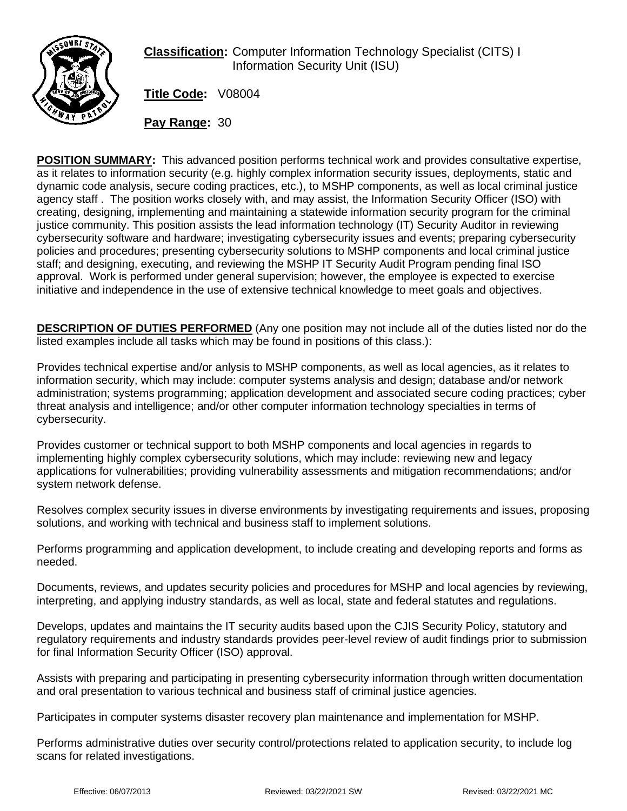

**Classification:** Computer Information Technology Specialist (CITS) I Information Security Unit (ISU)

**Title Code:** V08004

**Pay Range:** 30

**POSITION SUMMARY:** This advanced position performs technical work and provides consultative expertise, as it relates to information security (e.g. highly complex information security issues, deployments, static and dynamic code analysis, secure coding practices, etc.), to MSHP components, as well as local criminal justice agency staff . The position works closely with, and may assist, the Information Security Officer (ISO) with creating, designing, implementing and maintaining a statewide information security program for the criminal justice community. This position assists the lead information technology (IT) Security Auditor in reviewing cybersecurity software and hardware; investigating cybersecurity issues and events; preparing cybersecurity policies and procedures; presenting cybersecurity solutions to MSHP components and local criminal justice staff; and designing, executing, and reviewing the MSHP IT Security Audit Program pending final ISO approval. Work is performed under general supervision; however, the employee is expected to exercise initiative and independence in the use of extensive technical knowledge to meet goals and objectives.

**DESCRIPTION OF DUTIES PERFORMED** (Any one position may not include all of the duties listed nor do the listed examples include all tasks which may be found in positions of this class.):

Provides technical expertise and/or anlysis to MSHP components, as well as local agencies, as it relates to information security, which may include: computer systems analysis and design; database and/or network administration; systems programming; application development and associated secure coding practices; cyber threat analysis and intelligence; and/or other computer information technology specialties in terms of cybersecurity.

Provides customer or technical support to both MSHP components and local agencies in regards to implementing highly complex cybersecurity solutions, which may include: reviewing new and legacy applications for vulnerabilities; providing vulnerability assessments and mitigation recommendations; and/or system network defense.

Resolves complex security issues in diverse environments by investigating requirements and issues, proposing solutions, and working with technical and business staff to implement solutions.

Performs programming and application development, to include creating and developing reports and forms as needed.

Documents, reviews, and updates security policies and procedures for MSHP and local agencies by reviewing, interpreting, and applying industry standards, as well as local, state and federal statutes and regulations.

Develops, updates and maintains the IT security audits based upon the CJIS Security Policy, statutory and regulatory requirements and industry standards provides peer-level review of audit findings prior to submission for final Information Security Officer (ISO) approval.

Assists with preparing and participating in presenting cybersecurity information through written documentation and oral presentation to various technical and business staff of criminal justice agencies.

Participates in computer systems disaster recovery plan maintenance and implementation for MSHP.

Performs administrative duties over security control/protections related to application security, to include log scans for related investigations.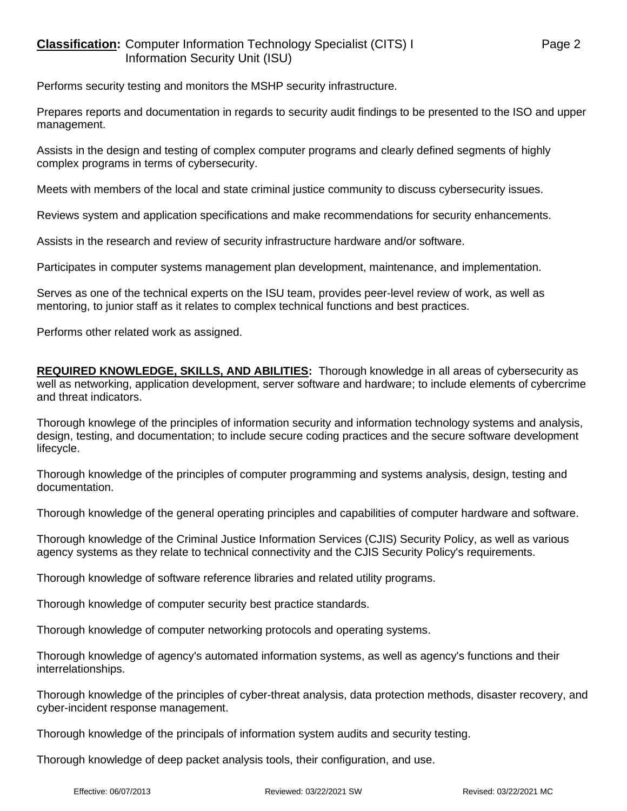Performs security testing and monitors the MSHP security infrastructure.

Prepares reports and documentation in regards to security audit findings to be presented to the ISO and upper management.

Assists in the design and testing of complex computer programs and clearly defined segments of highly complex programs in terms of cybersecurity.

Meets with members of the local and state criminal justice community to discuss cybersecurity issues.

Reviews system and application specifications and make recommendations for security enhancements.

Assists in the research and review of security infrastructure hardware and/or software.

Participates in computer systems management plan development, maintenance, and implementation.

Serves as one of the technical experts on the ISU team, provides peer-level review of work, as well as mentoring, to junior staff as it relates to complex technical functions and best practices.

Performs other related work as assigned.

**REQUIRED KNOWLEDGE, SKILLS, AND ABILITIES:** Thorough knowledge in all areas of cybersecurity as well as networking, application development, server software and hardware; to include elements of cybercrime and threat indicators.

Thorough knowlege of the principles of information security and information technology systems and analysis, design, testing, and documentation; to include secure coding practices and the secure software development lifecycle.

Thorough knowledge of the principles of computer programming and systems analysis, design, testing and documentation.

Thorough knowledge of the general operating principles and capabilities of computer hardware and software.

Thorough knowledge of the Criminal Justice Information Services (CJIS) Security Policy, as well as various agency systems as they relate to technical connectivity and the CJIS Security Policy's requirements.

Thorough knowledge of software reference libraries and related utility programs.

Thorough knowledge of computer security best practice standards.

Thorough knowledge of computer networking protocols and operating systems.

Thorough knowledge of agency's automated information systems, as well as agency's functions and their interrelationships.

Thorough knowledge of the principles of cyber-threat analysis, data protection methods, disaster recovery, and cyber-incident response management.

Thorough knowledge of the principals of information system audits and security testing.

Thorough knowledge of deep packet analysis tools, their configuration, and use.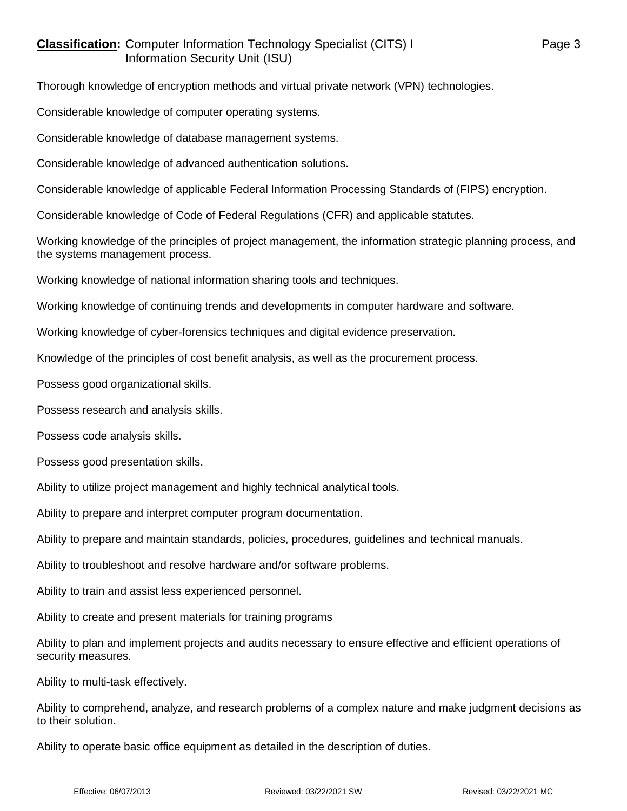## **Classification:** Computer Information Technology Specialist (CITS) I Page 3 Information Security Unit (ISU)

Thorough knowledge of encryption methods and virtual private network (VPN) technologies.

Considerable knowledge of computer operating systems.

Considerable knowledge of database management systems.

Considerable knowledge of advanced authentication solutions.

Considerable knowledge of applicable Federal Information Processing Standards of (FIPS) encryption.

Considerable knowledge of Code of Federal Regulations (CFR) and applicable statutes.

Working knowledge of the principles of project management, the information strategic planning process, and the systems management process.

Working knowledge of national information sharing tools and techniques.

Working knowledge of continuing trends and developments in computer hardware and software.

Working knowledge of cyber-forensics techniques and digital evidence preservation.

Knowledge of the principles of cost benefit analysis, as well as the procurement process.

Possess good organizational skills.

Possess research and analysis skills.

Possess code analysis skills.

Possess good presentation skills.

Ability to utilize project management and highly technical analytical tools.

Ability to prepare and interpret computer program documentation.

Ability to prepare and maintain standards, policies, procedures, guidelines and technical manuals.

Ability to troubleshoot and resolve hardware and/or software problems.

Ability to train and assist less experienced personnel.

Ability to create and present materials for training programs

Ability to plan and implement projects and audits necessary to ensure effective and efficient operations of security measures.

Ability to multi-task effectively.

Ability to comprehend, analyze, and research problems of a complex nature and make judgment decisions as to their solution.

Ability to operate basic office equipment as detailed in the description of duties.